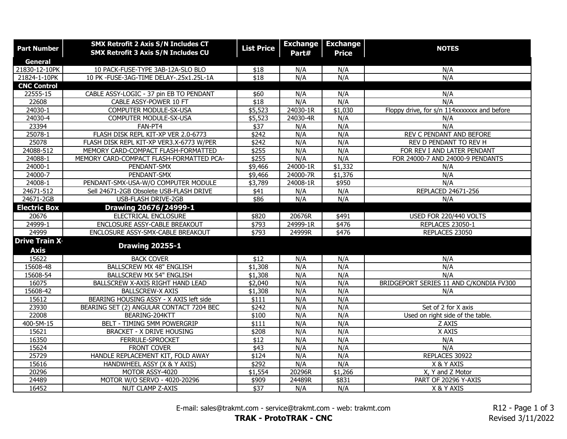| <b>Part Number</b>                  | <b>SMX Retrofit 2 Axis S/N Includes CT</b><br><b>SMX Retrofit 3 Axis S/N Includes CU</b> | <b>List Price</b> | <b>Exchange</b><br>Part# | <b>Exchange</b><br><b>Price</b> | <b>NOTES</b>                                |
|-------------------------------------|------------------------------------------------------------------------------------------|-------------------|--------------------------|---------------------------------|---------------------------------------------|
| General                             |                                                                                          |                   |                          |                                 |                                             |
| 21830-12-10PK                       | 10 PACK-FUSE-TYPE 3AB-12A-SLO BLO                                                        | \$18              | N/A                      | N/A                             | N/A                                         |
| 21824-1-10PK                        | 10 PK -FUSE-3AG-TIME DELAY-.25x1.25L-1A                                                  | $\sqrt{$18}$      | N/A                      | N/A                             | N/A                                         |
| <b>CNC Control</b>                  |                                                                                          |                   |                          |                                 |                                             |
| 22555-15                            | CABLE ASSY-LOGIC - 37 pin EB TO PENDANT                                                  | \$60              | N/A                      | N/A                             | N/A                                         |
| 22608                               | CABLE ASSY-POWER 10 FT                                                                   | \$18              | N/A                      | N/A                             | N/A                                         |
| 24030-1                             | COMPUTER MODULE-SX-USA                                                                   | \$5,523           | 24030-1R                 | \$1,030                         | Floppy drive, for s/n 114xxxxxxx and before |
| 24030-4                             | COMPUTER MODULE-SX-USA                                                                   | \$5,523           | 24030-4R                 | N/A                             | N/A                                         |
| 23394                               | FAN-PT4                                                                                  | $\sqrt{$37}$      | N/A                      | N/A                             | N/A                                         |
| 25078-1                             | FLASH DISK REPL KIT-XP VER 2.0-6773                                                      | $\sqrt{$242}$     | N/A                      | N/A                             | REV C PENDANT AND BEFORE                    |
| 25078                               | FLASH DISK REPL KIT-XP VER3.X-6773 W/PER                                                 | $\sqrt{$242}$     | N/A                      | N/A                             | REV D PENDANT TO REV H                      |
| 24088-512                           | MEMORY CARD-COMPACT FLASH-FORMATTED                                                      | \$255             | N/A                      | N/A                             | FOR REV I AND LATER PENDANT                 |
| 24088-1                             | MEMORY CARD-COMPACT FLASH-FORMATTED PCA-                                                 | \$255             | N/A                      | N/A                             | FOR 24000-7 AND 24000-9 PENDANTS            |
| 24000-1                             | PENDANT-SMX                                                                              | \$9,466           | 24000-1R                 | \$1,332                         | N/A                                         |
| 24000-7                             | PENDANT-SMX                                                                              | \$9,466           | 24000-7R                 | \$1,376                         | N/A                                         |
| $24008 - 1$                         | PENDANT-SMX-USA-W/O COMPUTER MODULE                                                      | \$3,789           | 24008-1R                 | \$950                           | N/A                                         |
| 24671-512                           | Sell 24671-2GB Obsolete USB-FLASH DRIVE                                                  | \$41              | N/A                      | N/A                             | REPLACED 24671-256                          |
| 24671-2GB                           | <b>USB-FLASH DRIVE-2GB</b>                                                               | \$86              | N/A                      | N/A                             | N/A                                         |
| <b>Electric Box</b>                 | Drawing 20676/24999-1                                                                    |                   |                          |                                 |                                             |
| 20676                               | ELECTRICAL ENCLOSURE                                                                     | \$820             | 20676R                   | \$491                           | USED FOR 220/440 VOLTS                      |
| 24999-1                             | ENCLOSURE ASSY-CABLE BREAKOUT                                                            | $\sqrt{$793}$     | 24999-1R                 | \$476                           | <b>REPLACES 23050-1</b>                     |
| 24999                               | ENCLOSURE ASSY-SMX-CABLE BREAKOUT                                                        | \$793             | 24999R                   | \$476                           | REPLACES 23050                              |
| <b>Drive Train X</b><br><b>Axis</b> | <b>Drawing 20255-1</b>                                                                   |                   |                          |                                 |                                             |
| 15622                               | <b>BACK COVER</b>                                                                        | $\overline{$12}$  | N/A                      | N/A                             | N/A                                         |
| 15608-48                            | <b>BALLSCREW MX 48" ENGLISH</b>                                                          | \$1,308           | N/A                      | N/A                             | N/A                                         |
| 15608-54                            | <b>BALLSCREW MX 54" ENGLISH</b>                                                          | \$1,308           | N/A                      | N/A                             | N/A                                         |
| 16075                               | BALLSCREW X-AXIS RIGHT HAND LEAD                                                         | \$2,040           | N/A                      | N/A                             | BRIDGEPORT SERIES 11 AND C/KONDIA FV300     |
| 15608-42                            | <b>BALLSCREW-X AXIS</b>                                                                  | \$1,308           | N/A                      | N/A                             | N/A                                         |
| 15612                               | BEARING HOUSING ASSY - X AXIS left side                                                  | \$111             | N/A                      | N/A                             |                                             |
| 23930                               | BEARING SET (2) ANGULAR CONTACT 7204 BEC                                                 | \$242             | N/A                      | N/A                             | Set of 2 for X axis                         |
| 22008                               | BEARING-204KTT                                                                           | \$100             | N/A                      | N/A                             | Used on right side of the table.            |
| 400-5M-15                           | BELT - TIMING 5MM POWERGRIP                                                              | \$111             | N/A                      | N/A                             | Z AXIS                                      |
| 15621                               | <b>BRACKET - X DRIVE HOUSING</b>                                                         | \$208             | N/A                      | N/A                             | X AXIS                                      |
| 16350                               | FERRULE-SPROCKET                                                                         | $\overline{$12}$  | N/A                      | N/A                             | N/A                                         |
| 15624                               | FRONT COVER                                                                              | \$43              | N/A                      | N/A                             | N/A                                         |
| 25729                               | HANDLE REPLACEMENT KIT, FOLD AWAY                                                        | \$124             | N/A                      | N/A                             | REPLACES 30922                              |
| 15616                               | HANDWHEEL ASSY (X & Y AXIS)                                                              | \$292             | N/A                      | N/A                             | X & Y AXIS                                  |
| 20296                               | MOTOR ASSY-4020                                                                          | \$1,554           | 20296R                   | \$1,266                         | X, Y and Z Motor                            |
| 24489                               | MOTOR W/O SERVO - 4020-20296                                                             | \$909             | 24489R                   | \$831                           | PART OF 20296 Y-AXIS                        |
| 16452                               | NUT CLAMP Z-AXIS                                                                         | \$37              | N/A                      | N/A                             | X & Y AXIS                                  |

E-mail: sales@trakmt.com - service@trakmt.com - web: trakmt.com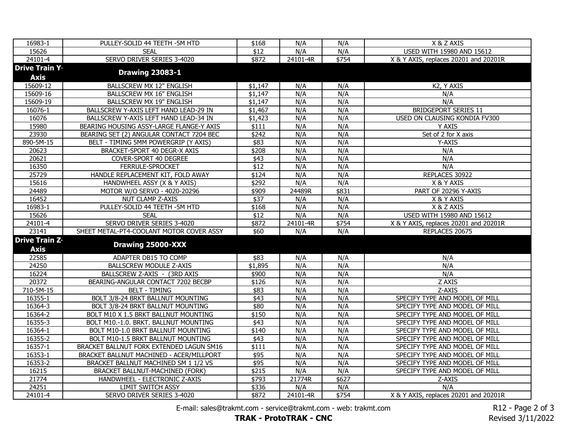| 16983-1               | PULLEY-SOLID 44 TEETH -5M HTD            | \$168            | N/A      | N/A   | X & Z AXIS                            |
|-----------------------|------------------------------------------|------------------|----------|-------|---------------------------------------|
| 15626                 | <b>SEAL</b>                              | $\overline{$12}$ | N/A      | N/A   | USED WITH 15980 AND 15612             |
| 24101-4               | SERVO DRIVER SERIES 3-4020               | \$872            | 24101-4R | \$754 | X & Y AXIS, replaces 20201 and 20201R |
| <b>Drive Train Y.</b> |                                          |                  |          |       |                                       |
| Axis                  | <b>Drawing 23083-1</b>                   |                  |          |       |                                       |
| 15609-12              | <b>BALLSCREW MX 12" ENGLISH</b>          | \$1,147          | N/A      | N/A   | K2, Y AXIS                            |
| 15609-16              | <b>BALLSCREW MX 16" ENGLISH</b>          | \$1,147          | N/A      | N/A   | N/A                                   |
| 15609-19              | <b>BALLSCREW MX 19" ENGLISH</b>          | \$1,147          | N/A      | N/A   | N/A                                   |
| 16076-1               | BALLSCREW Y-AXIS LEFT HAND LEAD-29 IN    | \$1,467          | N/A      | N/A   | <b>BRIDGEPORT SERIES 11</b>           |
| 16076                 | BALLSCREW Y-AXIS LEFT HAND LEAD-34 IN    | \$1,423          | N/A      | N/A   | USED ON CLAUSING KONDIA FV300         |
| 15980                 | BEARING HOUSING ASSY-LARGE FLANGE-Y AXIS | \$111            | N/A      | N/A   | Y AXIS                                |
| 23930                 | BEARING SET (2) ANGULAR CONTACT 7204 BEC | \$242            | N/A      | N/A   | Set of 2 for X axis                   |
| 890-5M-15             | BELT - TIMING 5MM POWERGRIP (Y AXIS)     | \$83             | N/A      | N/A   | Y-AXIS                                |
| 20623                 | BRACKET-SPORT 40 DEGR-X AXIS             | \$208            | N/A      | N/A   | N/A                                   |
| 20621                 | COVER-SPORT 40 DEGREE                    | $\sqrt{43}$      | N/A      | N/A   | N/A                                   |
| 16350                 | FERRULE-SPROCKET                         | $\sqrt{$12}$     | N/A      | N/A   | N/A                                   |
| 25729                 | HANDLE REPLACEMENT KIT, FOLD AWAY        | \$124            | N/A      | N/A   | REPLACES 30922                        |
| 15616                 | HANDWHEEL ASSY (X & Y AXIS)              | $\sqrt{$292}$    | N/A      | N/A   | X & Y AXIS                            |
| 24489                 | MOTOR W/O SERVO - 4020-20296             | \$909            | 24489R   | \$831 | PART OF 20296 Y-AXIS                  |
| 16452                 | NUT CLAMP Z-AXIS                         | $\sqrt{$37}$     | N/A      | N/A   | X & Y AXIS                            |
| 16983-1               | PULLEY-SOLID 44 TEETH -5M HTD            | \$168            | N/A      | N/A   | X & Z AXIS                            |
| 15626                 | <b>SEAL</b>                              | $\sqrt{$12}$     | N/A      | N/A   | <b>USED WITH 15980 AND 15612</b>      |
| 24101-4               | SERVO DRIVER SERIES 3-4020               | \$872            | 24101-4R | \$754 | X & Y AXIS, replaces 20201 and 20201R |
| 23141                 | SHEET METAL-PT4-COOLANT MOTOR COVER ASSY | \$60             | N/A      | N/A   | REPLACES 20675                        |
| <b>Drive Train Z.</b> |                                          |                  |          |       |                                       |
| <b>Axis</b>           | Drawing 25000-XXX                        |                  |          |       |                                       |
| 22585                 | ADAPTER DB15 TO COMP                     | \$83             | N/A      | N/A   | N/A                                   |
| 24250                 | <b>BALLSCREW MODULE Z-AXIS</b>           | \$1,895          | N/A      | N/A   | N/A                                   |
| 16224                 | BALLSCREW Z-AXIS - (3RD AXIS             | \$900            | N/A      | N/A   | N/A                                   |
| 20372                 | BEARING-ANGULAR CONTACT 7202 BECBP       | \$126            | N/A      | N/A   | Z AXIS                                |
| 710-5M-15             | <b>BELT - TIMING</b>                     | \$83             | N/A      | N/A   | Z-AXIS                                |
| 16355-1               | BOLT 3/8-24 BRKT BALLNUT MOUNTING        | \$43             | N/A      | N/A   | SPECIFY TYPE AND MODEL OF MILL        |
| 16364-3               | BOLT 3/8-24 BRKT BALLNUT MOUNTING        | \$80             | N/A      | N/A   | SPECIFY TYPE AND MODEL OF MILL        |
| 16364-2               | BOLT M10 X 1.5 BRKT BALLNUT MOUNTING     | \$150            | N/A      | N/A   | SPECIFY TYPE AND MODEL OF MILL        |
| 16355-3               | BOLT M10.-1.0. BRKT. BALLNUT MOUNTING    | \$43             | N/A      | N/A   | SPECIFY TYPE AND MODEL OF MILL        |
| 16364-1               | BOLT M10-1.0 BRKT BALLNUT MOUNTING       | \$140            | N/A      | N/A   | SPECIFY TYPE AND MODEL OF MILL        |
| 16355-2               | BOLT M10-1.5 BRKT BALLNUT MOUNTING       | $\sqrt{$43}$     | N/A      | N/A   | SPECIFY TYPE AND MODEL OF MILL        |
| 16357-1               | BRACKET BALLNUT FORK EXTENDED LAGUN SM16 | \$111            | N/A      | N/A   | SPECIFY TYPE AND MODEL OF MILL        |
| 16353-1               | BRACKET BALLNUT MACHINED - ACER/MILLPORT | \$95             | N/A      | N/A   | SPECIFY TYPE AND MODEL OF MILL        |
| 16353-2               | BRACKET BALLNUT MACHINED SM 1 1/2 VS     | \$95             | N/A      | N/A   | SPECIFY TYPE AND MODEL OF MILL        |
| 16215                 | BRACKET BALLNUT-MACHINED (FORK)          | \$215            | N/A      | N/A   | SPECIFY TYPE AND MODEL OF MILL        |
| 21774                 | HANDWHEEL - ELECTRONIC Z-AXIS            | \$793            | 21774R   | \$627 | Z-AXIS                                |
| 24251                 | <b>LIMIT SWITCH ASSY</b>                 | \$336            | N/A      | N/A   | N/A                                   |
| 24101-4               | SERVO DRIVER SERIES 3-4020               | \$872            | 24101-4R | \$754 | X & Y AXIS, replaces 20201 and 20201R |

E-mail: sales@trakmt.com - service@trakmt.com - web: trakmt.com